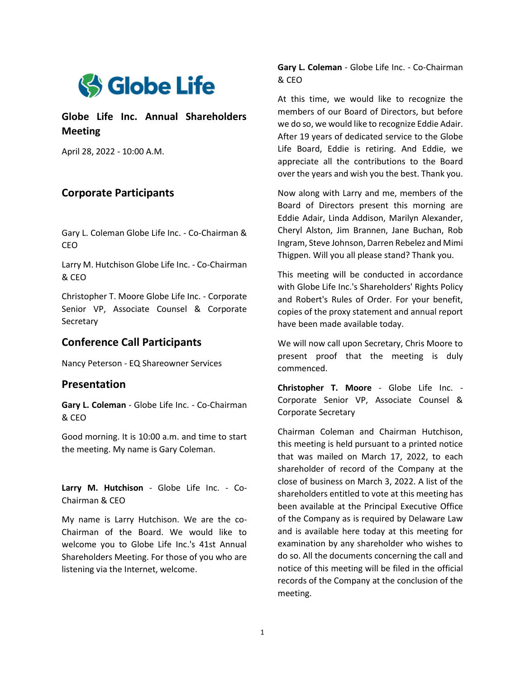

**Globe Life Inc. Annual Shareholders Meeting**

April 28, 2022 - 10:00 A.M.

# **Corporate Participants**

Gary L. Coleman Globe Life Inc. - Co-Chairman & CEO

Larry M. Hutchison Globe Life Inc. - Co-Chairman & CEO

Christopher T. Moore Globe Life Inc. - Corporate Senior VP, Associate Counsel & Corporate **Secretary** 

## **Conference Call Participants**

Nancy Peterson - EQ Shareowner Services

## **Presentation**

**Gary L. Coleman** - Globe Life Inc. - Co-Chairman & CEO

Good morning. It is 10:00 a.m. and time to start the meeting. My name is Gary Coleman.

**Larry M. Hutchison** - Globe Life Inc. - Co-Chairman & CEO

My name is Larry Hutchison. We are the co-Chairman of the Board. We would like to welcome you to Globe Life Inc.'s 41st Annual Shareholders Meeting. For those of you who are listening via the Internet, welcome.

**Gary L. Coleman** - Globe Life Inc. - Co-Chairman & CEO

At this time, we would like to recognize the members of our Board of Directors, but before we do so, we would like to recognize Eddie Adair. After 19 years of dedicated service to the Globe Life Board, Eddie is retiring. And Eddie, we appreciate all the contributions to the Board over the years and wish you the best. Thank you.

Now along with Larry and me, members of the Board of Directors present this morning are Eddie Adair, Linda Addison, Marilyn Alexander, Cheryl Alston, Jim Brannen, Jane Buchan, Rob Ingram, Steve Johnson, Darren Rebelez and Mimi Thigpen. Will you all please stand? Thank you.

This meeting will be conducted in accordance with Globe Life Inc.'s Shareholders' Rights Policy and Robert's Rules of Order. For your benefit, copies of the proxy statement and annual report have been made available today.

We will now call upon Secretary, Chris Moore to present proof that the meeting is duly commenced.

**Christopher T. Moore** - Globe Life Inc. - Corporate Senior VP, Associate Counsel & Corporate Secretary

Chairman Coleman and Chairman Hutchison, this meeting is held pursuant to a printed notice that was mailed on March 17, 2022, to each shareholder of record of the Company at the close of business on March 3, 2022. A list of the shareholders entitled to vote at this meeting has been available at the Principal Executive Office of the Company as is required by Delaware Law and is available here today at this meeting for examination by any shareholder who wishes to do so. All the documents concerning the call and notice of this meeting will be filed in the official records of the Company at the conclusion of the meeting.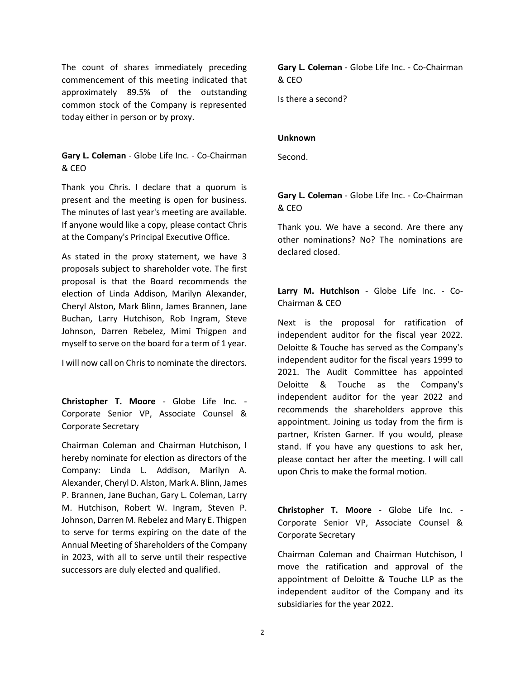The count of shares immediately preceding commencement of this meeting indicated that approximately 89.5% of the outstanding common stock of the Company is represented today either in person or by proxy.

**Gary L. Coleman** - Globe Life Inc. - Co-Chairman & CEO

Thank you Chris. I declare that a quorum is present and the meeting is open for business. The minutes of last year's meeting are available. If anyone would like a copy, please contact Chris at the Company's Principal Executive Office.

As stated in the proxy statement, we have 3 proposals subject to shareholder vote. The first proposal is that the Board recommends the election of Linda Addison, Marilyn Alexander, Cheryl Alston, Mark Blinn, James Brannen, Jane Buchan, Larry Hutchison, Rob Ingram, Steve Johnson, Darren Rebelez, Mimi Thigpen and myself to serve on the board for a term of 1 year.

I will now call on Chris to nominate the directors.

**Christopher T. Moore** - Globe Life Inc. - Corporate Senior VP, Associate Counsel & Corporate Secretary

Chairman Coleman and Chairman Hutchison, I hereby nominate for election as directors of the Company: Linda L. Addison, Marilyn A. Alexander, Cheryl D. Alston, Mark A. Blinn, James P. Brannen, Jane Buchan, Gary L. Coleman, Larry M. Hutchison, Robert W. Ingram, Steven P. Johnson, Darren M. Rebelez and Mary E. Thigpen to serve for terms expiring on the date of the Annual Meeting of Shareholders of the Company in 2023, with all to serve until their respective successors are duly elected and qualified.

**Gary L. Coleman** - Globe Life Inc. - Co-Chairman & CEO

Is there a second?

### **Unknown**

Second.

**Gary L. Coleman** - Globe Life Inc. - Co-Chairman & CEO

Thank you. We have a second. Are there any other nominations? No? The nominations are declared closed.

**Larry M. Hutchison** - Globe Life Inc. - Co-Chairman & CEO

Next is the proposal for ratification of independent auditor for the fiscal year 2022. Deloitte & Touche has served as the Company's independent auditor for the fiscal years 1999 to 2021. The Audit Committee has appointed Deloitte & Touche as the Company's independent auditor for the year 2022 and recommends the shareholders approve this appointment. Joining us today from the firm is partner, Kristen Garner. If you would, please stand. If you have any questions to ask her, please contact her after the meeting. I will call upon Chris to make the formal motion.

**Christopher T. Moore** - Globe Life Inc. - Corporate Senior VP, Associate Counsel & Corporate Secretary

Chairman Coleman and Chairman Hutchison, I move the ratification and approval of the appointment of Deloitte & Touche LLP as the independent auditor of the Company and its subsidiaries for the year 2022.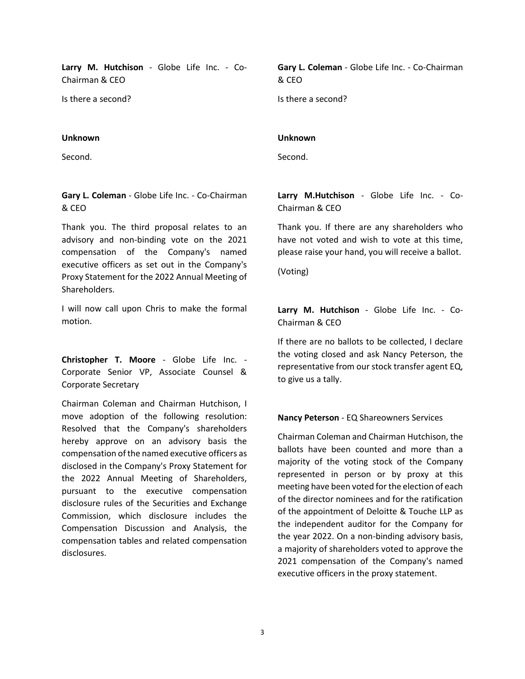**Larry M. Hutchison** - Globe Life Inc. - Co-Chairman & CEO

Is there a second?

### **Unknown**

Second.

### **Gary L. Coleman** - Globe Life Inc. - Co-Chairman & CEO

Thank you. The third proposal relates to an advisory and non-binding vote on the 2021 compensation of the Company's named executive officers as set out in the Company's Proxy Statement for the 2022 Annual Meeting of Shareholders.

I will now call upon Chris to make the formal motion.

**Christopher T. Moore** - Globe Life Inc. - Corporate Senior VP, Associate Counsel & Corporate Secretary

Chairman Coleman and Chairman Hutchison, I move adoption of the following resolution: Resolved that the Company's shareholders hereby approve on an advisory basis the compensation of the named executive officers as disclosed in the Company's Proxy Statement for the 2022 Annual Meeting of Shareholders, pursuant to the executive compensation disclosure rules of the Securities and Exchange Commission, which disclosure includes the Compensation Discussion and Analysis, the compensation tables and related compensation disclosures.

**Gary L. Coleman** - Globe Life Inc. - Co-Chairman & CEO

Is there a second?

### **Unknown**

Second.

**Larry M.Hutchison** - Globe Life Inc. - Co-Chairman & CEO

Thank you. If there are any shareholders who have not voted and wish to vote at this time, please raise your hand, you will receive a ballot.

(Voting)

**Larry M. Hutchison** - Globe Life Inc. - Co-Chairman & CEO

If there are no ballots to be collected, I declare the voting closed and ask Nancy Peterson, the representative from our stock transfer agent EQ, to give us a tally.

### **Nancy Peterson** - EQ Shareowners Services

Chairman Coleman and Chairman Hutchison, the ballots have been counted and more than a majority of the voting stock of the Company represented in person or by proxy at this meeting have been voted for the election of each of the director nominees and for the ratification of the appointment of Deloitte & Touche LLP as the independent auditor for the Company for the year 2022. On a non-binding advisory basis, a majority of shareholders voted to approve the 2021 compensation of the Company's named executive officers in the proxy statement.